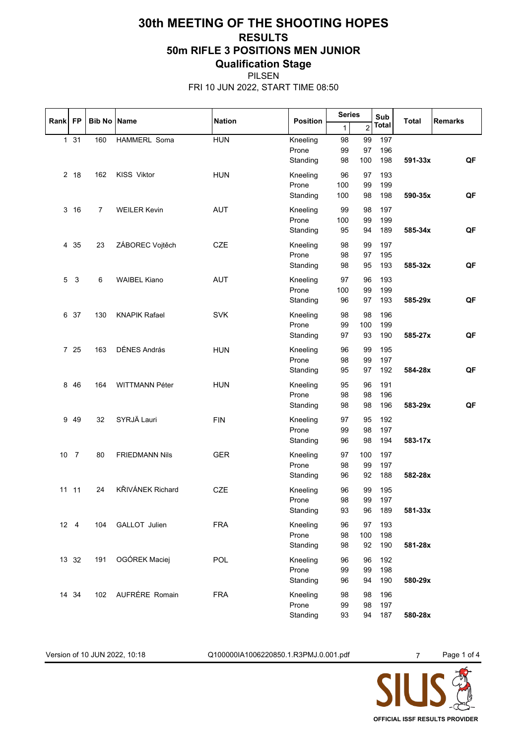## **30th MEETING OF THE SHOOTING HOPES RESULTS 50m RIFLE 3 POSITIONS MEN JUNIOR Qualification Stage**

PILSEN FRI 10 JUN 2022, START TIME 08:50

| Sub<br>Rank FP<br><b>Bib No Name</b><br><b>Nation</b><br><b>Position</b><br><b>Total</b><br><b>Remarks</b><br><b>Total</b><br>$\overline{2}$<br>1<br><b>HUN</b><br>$1 \quad 31$<br>160<br>HAMMERL Soma<br>99<br>Kneeling<br>98<br>197<br>196<br>Prone<br>99<br>97<br>Standing<br>198<br>591-33x<br>QF<br>98<br>100<br><b>HUN</b><br>2 18<br><b>KISS Viktor</b><br>Kneeling<br>96<br>97<br>193<br>162<br>99<br>199<br>Prone<br>100<br>QF<br>Standing<br>100<br>98<br>198<br>590-35x<br><b>AUT</b><br>3<br>16<br>$\overline{7}$<br><b>WEILER Kevin</b><br>Kneeling<br>99<br>98<br>197<br>Prone<br>100<br>99<br>199<br>QF<br>Standing<br>95<br>189<br>585-34x<br>94<br>ZÁBOREC Vojtěch<br><b>CZE</b><br>4 35<br>23<br>Kneeling<br>98<br>197<br>99<br>98<br>195<br>Prone<br>97<br>Standing<br>98<br>95<br>193<br>585-32x<br>QF<br><b>AUT</b><br>3<br>6<br><b>WAIBEL Kiano</b><br>Kneeling<br>97<br>96<br>193<br>5<br>100<br>199<br>Prone<br>99<br>QF<br>193<br>585-29x<br>Standing<br>96<br>97<br><b>SVK</b><br>6 37<br><b>KNAPIK Rafael</b><br>Kneeling<br>98<br>98<br>196<br>130<br>99<br>199<br>Prone<br>100<br>Standing<br>97<br>190<br>585-27x<br>QF<br>93<br>7 25<br>DÉNES András<br>163<br><b>HUN</b><br>Kneeling<br>96<br>99<br>195<br>Prone<br>98<br>99<br>197<br>QF<br>95<br>192<br>584-28x<br>Standing<br>97<br>46<br><b>HUN</b><br>95<br>8<br>164<br>WITTMANN Péter<br>Kneeling<br>96<br>191<br>Prone<br>98<br>98<br>196<br>QF<br>196<br>583-29x<br>Standing<br>98<br>98<br>SYRJÄ Lauri<br><b>FIN</b><br>9 4 9<br>32<br>Kneeling<br>97<br>95<br>192 |
|-------------------------------------------------------------------------------------------------------------------------------------------------------------------------------------------------------------------------------------------------------------------------------------------------------------------------------------------------------------------------------------------------------------------------------------------------------------------------------------------------------------------------------------------------------------------------------------------------------------------------------------------------------------------------------------------------------------------------------------------------------------------------------------------------------------------------------------------------------------------------------------------------------------------------------------------------------------------------------------------------------------------------------------------------------------------------------------------------------------------------------------------------------------------------------------------------------------------------------------------------------------------------------------------------------------------------------------------------------------------------------------------------------------------------------------------------------------------------------------------------------------------------------------------------------------|
|                                                                                                                                                                                                                                                                                                                                                                                                                                                                                                                                                                                                                                                                                                                                                                                                                                                                                                                                                                                                                                                                                                                                                                                                                                                                                                                                                                                                                                                                                                                                                             |
|                                                                                                                                                                                                                                                                                                                                                                                                                                                                                                                                                                                                                                                                                                                                                                                                                                                                                                                                                                                                                                                                                                                                                                                                                                                                                                                                                                                                                                                                                                                                                             |
|                                                                                                                                                                                                                                                                                                                                                                                                                                                                                                                                                                                                                                                                                                                                                                                                                                                                                                                                                                                                                                                                                                                                                                                                                                                                                                                                                                                                                                                                                                                                                             |
|                                                                                                                                                                                                                                                                                                                                                                                                                                                                                                                                                                                                                                                                                                                                                                                                                                                                                                                                                                                                                                                                                                                                                                                                                                                                                                                                                                                                                                                                                                                                                             |
|                                                                                                                                                                                                                                                                                                                                                                                                                                                                                                                                                                                                                                                                                                                                                                                                                                                                                                                                                                                                                                                                                                                                                                                                                                                                                                                                                                                                                                                                                                                                                             |
|                                                                                                                                                                                                                                                                                                                                                                                                                                                                                                                                                                                                                                                                                                                                                                                                                                                                                                                                                                                                                                                                                                                                                                                                                                                                                                                                                                                                                                                                                                                                                             |
|                                                                                                                                                                                                                                                                                                                                                                                                                                                                                                                                                                                                                                                                                                                                                                                                                                                                                                                                                                                                                                                                                                                                                                                                                                                                                                                                                                                                                                                                                                                                                             |
|                                                                                                                                                                                                                                                                                                                                                                                                                                                                                                                                                                                                                                                                                                                                                                                                                                                                                                                                                                                                                                                                                                                                                                                                                                                                                                                                                                                                                                                                                                                                                             |
|                                                                                                                                                                                                                                                                                                                                                                                                                                                                                                                                                                                                                                                                                                                                                                                                                                                                                                                                                                                                                                                                                                                                                                                                                                                                                                                                                                                                                                                                                                                                                             |
|                                                                                                                                                                                                                                                                                                                                                                                                                                                                                                                                                                                                                                                                                                                                                                                                                                                                                                                                                                                                                                                                                                                                                                                                                                                                                                                                                                                                                                                                                                                                                             |
|                                                                                                                                                                                                                                                                                                                                                                                                                                                                                                                                                                                                                                                                                                                                                                                                                                                                                                                                                                                                                                                                                                                                                                                                                                                                                                                                                                                                                                                                                                                                                             |
|                                                                                                                                                                                                                                                                                                                                                                                                                                                                                                                                                                                                                                                                                                                                                                                                                                                                                                                                                                                                                                                                                                                                                                                                                                                                                                                                                                                                                                                                                                                                                             |
|                                                                                                                                                                                                                                                                                                                                                                                                                                                                                                                                                                                                                                                                                                                                                                                                                                                                                                                                                                                                                                                                                                                                                                                                                                                                                                                                                                                                                                                                                                                                                             |
|                                                                                                                                                                                                                                                                                                                                                                                                                                                                                                                                                                                                                                                                                                                                                                                                                                                                                                                                                                                                                                                                                                                                                                                                                                                                                                                                                                                                                                                                                                                                                             |
|                                                                                                                                                                                                                                                                                                                                                                                                                                                                                                                                                                                                                                                                                                                                                                                                                                                                                                                                                                                                                                                                                                                                                                                                                                                                                                                                                                                                                                                                                                                                                             |
|                                                                                                                                                                                                                                                                                                                                                                                                                                                                                                                                                                                                                                                                                                                                                                                                                                                                                                                                                                                                                                                                                                                                                                                                                                                                                                                                                                                                                                                                                                                                                             |
|                                                                                                                                                                                                                                                                                                                                                                                                                                                                                                                                                                                                                                                                                                                                                                                                                                                                                                                                                                                                                                                                                                                                                                                                                                                                                                                                                                                                                                                                                                                                                             |
|                                                                                                                                                                                                                                                                                                                                                                                                                                                                                                                                                                                                                                                                                                                                                                                                                                                                                                                                                                                                                                                                                                                                                                                                                                                                                                                                                                                                                                                                                                                                                             |
|                                                                                                                                                                                                                                                                                                                                                                                                                                                                                                                                                                                                                                                                                                                                                                                                                                                                                                                                                                                                                                                                                                                                                                                                                                                                                                                                                                                                                                                                                                                                                             |
|                                                                                                                                                                                                                                                                                                                                                                                                                                                                                                                                                                                                                                                                                                                                                                                                                                                                                                                                                                                                                                                                                                                                                                                                                                                                                                                                                                                                                                                                                                                                                             |
|                                                                                                                                                                                                                                                                                                                                                                                                                                                                                                                                                                                                                                                                                                                                                                                                                                                                                                                                                                                                                                                                                                                                                                                                                                                                                                                                                                                                                                                                                                                                                             |
|                                                                                                                                                                                                                                                                                                                                                                                                                                                                                                                                                                                                                                                                                                                                                                                                                                                                                                                                                                                                                                                                                                                                                                                                                                                                                                                                                                                                                                                                                                                                                             |
|                                                                                                                                                                                                                                                                                                                                                                                                                                                                                                                                                                                                                                                                                                                                                                                                                                                                                                                                                                                                                                                                                                                                                                                                                                                                                                                                                                                                                                                                                                                                                             |
|                                                                                                                                                                                                                                                                                                                                                                                                                                                                                                                                                                                                                                                                                                                                                                                                                                                                                                                                                                                                                                                                                                                                                                                                                                                                                                                                                                                                                                                                                                                                                             |
|                                                                                                                                                                                                                                                                                                                                                                                                                                                                                                                                                                                                                                                                                                                                                                                                                                                                                                                                                                                                                                                                                                                                                                                                                                                                                                                                                                                                                                                                                                                                                             |
|                                                                                                                                                                                                                                                                                                                                                                                                                                                                                                                                                                                                                                                                                                                                                                                                                                                                                                                                                                                                                                                                                                                                                                                                                                                                                                                                                                                                                                                                                                                                                             |
|                                                                                                                                                                                                                                                                                                                                                                                                                                                                                                                                                                                                                                                                                                                                                                                                                                                                                                                                                                                                                                                                                                                                                                                                                                                                                                                                                                                                                                                                                                                                                             |
| 98<br>197<br>Prone<br>99                                                                                                                                                                                                                                                                                                                                                                                                                                                                                                                                                                                                                                                                                                                                                                                                                                                                                                                                                                                                                                                                                                                                                                                                                                                                                                                                                                                                                                                                                                                                    |
| Standing<br>98<br>194<br>583-17x<br>96                                                                                                                                                                                                                                                                                                                                                                                                                                                                                                                                                                                                                                                                                                                                                                                                                                                                                                                                                                                                                                                                                                                                                                                                                                                                                                                                                                                                                                                                                                                      |
| 10<br>$\overline{7}$<br><b>FRIEDMANN Nils</b><br><b>GER</b><br>Kneeling<br>97<br>100<br>197<br>80                                                                                                                                                                                                                                                                                                                                                                                                                                                                                                                                                                                                                                                                                                                                                                                                                                                                                                                                                                                                                                                                                                                                                                                                                                                                                                                                                                                                                                                           |
| Prone<br>98<br>197<br>99                                                                                                                                                                                                                                                                                                                                                                                                                                                                                                                                                                                                                                                                                                                                                                                                                                                                                                                                                                                                                                                                                                                                                                                                                                                                                                                                                                                                                                                                                                                                    |
| 188<br>582-28x<br>Standing<br>96<br>92                                                                                                                                                                                                                                                                                                                                                                                                                                                                                                                                                                                                                                                                                                                                                                                                                                                                                                                                                                                                                                                                                                                                                                                                                                                                                                                                                                                                                                                                                                                      |
| KŘIVÁNEK Richard<br>11 11<br><b>CZE</b><br>24<br>Kneeling<br>96<br>99<br>195                                                                                                                                                                                                                                                                                                                                                                                                                                                                                                                                                                                                                                                                                                                                                                                                                                                                                                                                                                                                                                                                                                                                                                                                                                                                                                                                                                                                                                                                                |
| 99<br>197<br>98<br>Prone                                                                                                                                                                                                                                                                                                                                                                                                                                                                                                                                                                                                                                                                                                                                                                                                                                                                                                                                                                                                                                                                                                                                                                                                                                                                                                                                                                                                                                                                                                                                    |
| Standing<br>189<br>581-33x<br>93<br>96                                                                                                                                                                                                                                                                                                                                                                                                                                                                                                                                                                                                                                                                                                                                                                                                                                                                                                                                                                                                                                                                                                                                                                                                                                                                                                                                                                                                                                                                                                                      |
| 12 4<br>GALLOT Julien<br><b>FRA</b><br>104<br>Kneeling<br>96<br>97<br>193                                                                                                                                                                                                                                                                                                                                                                                                                                                                                                                                                                                                                                                                                                                                                                                                                                                                                                                                                                                                                                                                                                                                                                                                                                                                                                                                                                                                                                                                                   |
| Prone<br>98<br>100<br>198                                                                                                                                                                                                                                                                                                                                                                                                                                                                                                                                                                                                                                                                                                                                                                                                                                                                                                                                                                                                                                                                                                                                                                                                                                                                                                                                                                                                                                                                                                                                   |
| 190<br>Standing<br>98<br>92<br>581-28x                                                                                                                                                                                                                                                                                                                                                                                                                                                                                                                                                                                                                                                                                                                                                                                                                                                                                                                                                                                                                                                                                                                                                                                                                                                                                                                                                                                                                                                                                                                      |
| 13 32<br>OGÓREK Maciej<br>POL<br>191<br>Kneeling<br>96<br>96<br>192                                                                                                                                                                                                                                                                                                                                                                                                                                                                                                                                                                                                                                                                                                                                                                                                                                                                                                                                                                                                                                                                                                                                                                                                                                                                                                                                                                                                                                                                                         |
| Prone<br>99<br>99<br>198                                                                                                                                                                                                                                                                                                                                                                                                                                                                                                                                                                                                                                                                                                                                                                                                                                                                                                                                                                                                                                                                                                                                                                                                                                                                                                                                                                                                                                                                                                                                    |
| Standing<br>190<br>580-29x<br>96<br>94                                                                                                                                                                                                                                                                                                                                                                                                                                                                                                                                                                                                                                                                                                                                                                                                                                                                                                                                                                                                                                                                                                                                                                                                                                                                                                                                                                                                                                                                                                                      |
| AUFRÉRE Romain<br><b>FRA</b><br>14 34<br>102<br>Kneeling<br>196<br>98<br>98                                                                                                                                                                                                                                                                                                                                                                                                                                                                                                                                                                                                                                                                                                                                                                                                                                                                                                                                                                                                                                                                                                                                                                                                                                                                                                                                                                                                                                                                                 |
| Prone<br>197<br>99<br>98                                                                                                                                                                                                                                                                                                                                                                                                                                                                                                                                                                                                                                                                                                                                                                                                                                                                                                                                                                                                                                                                                                                                                                                                                                                                                                                                                                                                                                                                                                                                    |
| Standing<br>94<br>187<br>580-28x<br>93                                                                                                                                                                                                                                                                                                                                                                                                                                                                                                                                                                                                                                                                                                                                                                                                                                                                                                                                                                                                                                                                                                                                                                                                                                                                                                                                                                                                                                                                                                                      |

Version of 10 JUN 2022, 10:18 Q100000IA1006220850.1.R3PMJ.0.001.pdf 7 Page 1 of 4

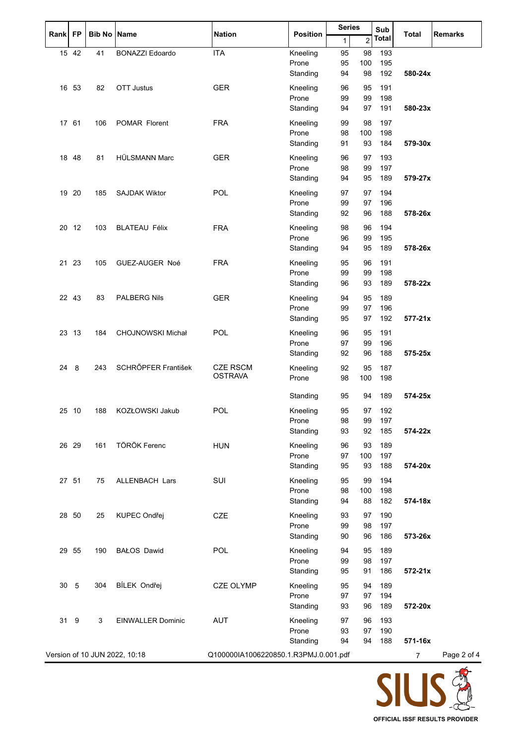|           |       |                    |                               | <b>Nation</b>                         |                   | <b>Series</b><br>Sub |                | <b>Remarks</b> |              |             |
|-----------|-------|--------------------|-------------------------------|---------------------------------------|-------------------|----------------------|----------------|----------------|--------------|-------------|
| Rank   FP |       | <b>Bib No Name</b> |                               |                                       | <b>Position</b>   | 1                    | $\overline{2}$ | <b>Total</b>   | <b>Total</b> |             |
|           | 15 42 | 41                 | <b>BONAZZI Edoardo</b>        | <b>ITA</b>                            | Kneeling          | 95                   | 98             | 193            |              |             |
|           |       |                    |                               |                                       | Prone             | 95                   | 100            | 195            |              |             |
|           |       |                    |                               |                                       | Standing          | 94                   | 98             | 192            | 580-24x      |             |
|           |       |                    | <b>OTT Justus</b>             |                                       |                   |                      |                |                |              |             |
|           | 16 53 | 82                 |                               | <b>GER</b>                            | Kneeling<br>Prone | 96<br>99             | 95<br>99       | 191            |              |             |
|           |       |                    |                               |                                       | Standing          | 94                   | 97             | 198<br>191     | 580-23x      |             |
|           |       |                    |                               |                                       |                   |                      |                |                |              |             |
|           | 17 61 | 106                | POMAR Florent                 | <b>FRA</b>                            | Kneeling          | 99                   | 98             | 197            |              |             |
|           |       |                    |                               |                                       | Prone             | 98                   | 100            | 198            |              |             |
|           |       |                    |                               |                                       | Standing          | 91                   | 93             | 184            | 579-30x      |             |
|           | 18 48 | 81                 | HÜLSMANN Marc                 | <b>GER</b>                            | Kneeling          | 96                   | 97             | 193            |              |             |
|           |       |                    |                               |                                       | Prone             | 98                   | 99             | 197            |              |             |
|           |       |                    |                               |                                       | Standing          | 94                   | 95             | 189            | 579-27x      |             |
|           | 19 20 | 185                | <b>SAJDAK Wiktor</b>          | POL                                   | Kneeling          | 97                   | 97             | 194            |              |             |
|           |       |                    |                               |                                       | Prone             | 99                   | 97             | 196            |              |             |
|           |       |                    |                               |                                       | Standing          | 92                   | 96             | 188            | 578-26x      |             |
|           |       |                    |                               |                                       |                   |                      |                |                |              |             |
|           | 20 12 | 103                | <b>BLATEAU Félix</b>          | <b>FRA</b>                            | Kneeling          | 98                   | 96             | 194            |              |             |
|           |       |                    |                               |                                       | Prone             | 96                   | 99             | 195            |              |             |
|           |       |                    |                               |                                       | Standing          | 94                   | 95             | 189            | 578-26x      |             |
|           | 21 23 | 105                | GUEZ-AUGER Noé                | <b>FRA</b>                            | Kneeling          | 95                   | 96             | 191            |              |             |
|           |       |                    |                               |                                       | Prone             | 99                   | 99             | 198            |              |             |
|           |       |                    |                               |                                       | Standing          | 96                   | 93             | 189            | 578-22x      |             |
|           | 22 43 | 83                 | <b>PALBERG Nils</b>           | <b>GER</b>                            | Kneeling          | 94                   | 95             | 189            |              |             |
|           |       |                    |                               |                                       | Prone             | 99                   | 97             | 196            |              |             |
|           |       |                    |                               |                                       | Standing          | 95                   | 97             | 192            | $577 - 21x$  |             |
|           |       |                    |                               |                                       |                   |                      |                |                |              |             |
|           | 23 13 | 184                | CHOJNOWSKI Michał             | POL                                   | Kneeling          | 96                   | 95             | 191            |              |             |
|           |       |                    |                               |                                       | Prone             | 97                   | 99             | 196            |              |             |
|           |       |                    |                               |                                       | Standing          | 92                   | 96             | 188            | 575-25x      |             |
| 24 8      |       | 243                | SCHRŐPFER František           | <b>CZE RSCM</b>                       | Kneeling          | 92                   | 95             | 187            |              |             |
|           |       |                    |                               | <b>OSTRAVA</b>                        | Prone             | 98                   | 100            | 198            |              |             |
|           |       |                    |                               |                                       |                   |                      |                |                |              |             |
|           |       |                    |                               |                                       | Standing          | 95                   | 94             | 189            | 574-25x      |             |
|           | 25 10 | 188                | KOZŁOWSKI Jakub               | POL                                   | Kneeling          | 95                   | 97             | 192            |              |             |
|           |       |                    |                               |                                       | Prone             | 98                   | 99             | 197            |              |             |
|           |       |                    |                               |                                       | Standing          | 93                   | 92             | 185            | 574-22x      |             |
|           | 26 29 | 161                | TÖRÖK Ferenc                  | <b>HUN</b>                            | Kneeling          | 96                   | 93             | 189            |              |             |
|           |       |                    |                               |                                       | Prone             | 97                   | 100            | 197            |              |             |
|           |       |                    |                               |                                       | Standing          | 95                   | 93             | 188            | 574-20x      |             |
|           |       |                    |                               |                                       |                   |                      |                |                |              |             |
|           | 27 51 | 75                 | <b>ALLENBACH Lars</b>         | SUI                                   | Kneeling          | 95                   | 99             | 194            |              |             |
|           |       |                    |                               |                                       | Prone             | 98                   | 100            | 198            |              |             |
|           |       |                    |                               |                                       | Standing          | 94                   | 88             | 182            | 574-18x      |             |
|           | 28 50 | 25                 | KUPEC Ondřej                  | CZE                                   | Kneeling          | 93                   | 97             | 190            |              |             |
|           |       |                    |                               |                                       | Prone             | 99                   | 98             | 197            |              |             |
|           |       |                    |                               |                                       | Standing          | 90                   | 96             | 186            | 573-26x      |             |
|           | 29 55 | 190                | <b>BAŁOS Dawid</b>            | POL                                   | Kneeling          | 94                   | 95             | 189            |              |             |
|           |       |                    |                               |                                       | Prone             | 99                   | 98             | 197            |              |             |
|           |       |                    |                               |                                       | Standing          | 95                   | 91             | 186            | $572 - 21x$  |             |
|           |       |                    |                               |                                       |                   |                      |                |                |              |             |
| 30 5      |       | 304                | BÍLEK Ondřej                  | <b>CZE OLYMP</b>                      | Kneeling          | 95                   | 94             | 189            |              |             |
|           |       |                    |                               |                                       | Prone             | 97                   | 97             | 194            |              |             |
|           |       |                    |                               |                                       | Standing          | 93                   | 96             | 189            | 572-20x      |             |
| 31 9      |       | 3                  | <b>EINWALLER Dominic</b>      | <b>AUT</b>                            | Kneeling          | 97                   | 96             | 193            |              |             |
|           |       |                    |                               |                                       | Prone             | 93                   | 97             | 190            |              |             |
|           |       |                    |                               |                                       | Standing          | 94                   | 94             | 188            | 571-16x      |             |
|           |       |                    | Version of 10 JUN 2022, 10:18 | Q100000IA1006220850.1.R3PMJ.0.001.pdf |                   |                      |                |                | 7            | Page 2 of 4 |
|           |       |                    |                               |                                       |                   |                      |                |                |              |             |

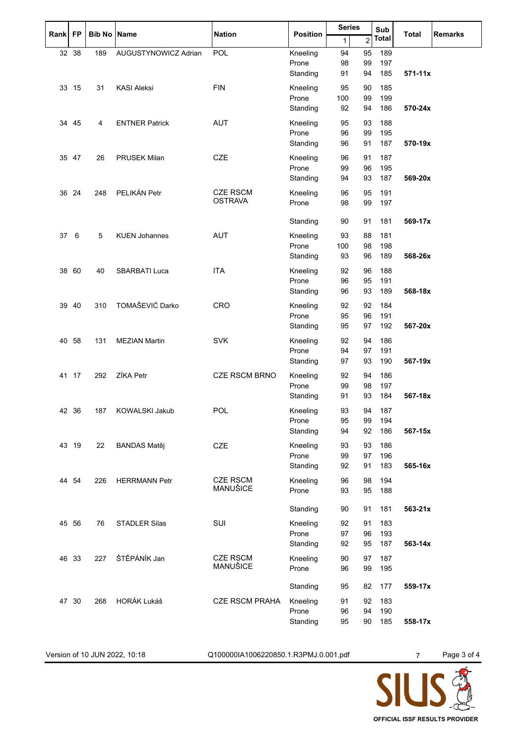| Rank FP |       |                    |                       |                       |                   | <b>Series</b> |                | Sub          |                                |  |
|---------|-------|--------------------|-----------------------|-----------------------|-------------------|---------------|----------------|--------------|--------------------------------|--|
|         |       | <b>Bib No Name</b> |                       | <b>Nation</b>         | <b>Position</b>   | 1             | $\overline{c}$ | <b>Total</b> | <b>Total</b><br><b>Remarks</b> |  |
|         | 32 38 | 189                | AUGUSTYNOWICZ Adrian  | POL                   | Kneeling          | 94            | 95             | 189          |                                |  |
|         |       |                    |                       |                       | Prone             | 98            | 99             | 197          |                                |  |
|         |       |                    |                       |                       | Standing          | 91            | 94             | 185          | $571 - 11x$                    |  |
|         | 33 15 | 31                 | <b>KASI Aleksi</b>    | <b>FIN</b>            | Kneeling          | 95            | 90             | 185          |                                |  |
|         |       |                    |                       |                       | Prone             | 100           | 99             | 199          |                                |  |
|         |       |                    |                       |                       | Standing          | 92            | 94             | 186          | 570-24x                        |  |
|         |       |                    |                       |                       |                   |               |                |              |                                |  |
|         | 34 45 | 4                  | <b>ENTNER Patrick</b> | <b>AUT</b>            | Kneeling          | 95            | 93             | 188          |                                |  |
|         |       |                    |                       |                       | Prone             | 96            | 99             | 195          |                                |  |
|         |       |                    |                       |                       | Standing          | 96            | 91             | 187          | 570-19x                        |  |
|         | 35 47 | 26                 | <b>PRUSEK Milan</b>   | CZE                   | Kneeling          | 96            | 91             | 187          |                                |  |
|         |       |                    |                       |                       | Prone             | 99            | 96             | 195          |                                |  |
|         |       |                    |                       |                       | Standing          | 94            | 93             | 187          | 569-20x                        |  |
|         | 36 24 | 248                | PELIKÁN Petr          | <b>CZE RSCM</b>       | Kneeling          | 96            | 95             | 191          |                                |  |
|         |       |                    |                       | <b>OSTRAVA</b>        | Prone             | 98            | 99             | 197          |                                |  |
|         |       |                    |                       |                       |                   |               |                |              |                                |  |
|         |       |                    |                       |                       | Standing          | 90            | 91             | 181          | 569-17x                        |  |
| 37 6    |       | 5                  | <b>KUEN Johannes</b>  | <b>AUT</b>            | Kneeling          | 93            | 88             | 181          |                                |  |
|         |       |                    |                       |                       | Prone             | 100           | 98             | 198          |                                |  |
|         |       |                    |                       |                       | Standing          | 93            | 96             | 189          | 568-26x                        |  |
|         | 38 60 | 40                 | <b>SBARBATI Luca</b>  | <b>ITA</b>            | Kneeling          | 92            | 96             | 188          |                                |  |
|         |       |                    |                       |                       | Prone             | 96            | 95             | 191          |                                |  |
|         |       |                    |                       |                       | Standing          | 96            | 93             | 189          | 568-18x                        |  |
|         |       |                    |                       |                       |                   |               |                |              |                                |  |
|         | 39 40 | 310                | TOMAŠEVIĆ Darko       | CRO                   | Kneeling          | 92            | 92             | 184          |                                |  |
|         |       |                    |                       |                       | Prone             | 95            | 96             | 191          |                                |  |
|         |       |                    |                       |                       | Standing          | 95            | 97             | 192          | 567-20x                        |  |
|         | 40 58 | 131                | <b>MEZIAN Martin</b>  | <b>SVK</b>            | Kneeling          | 92            | 94             | 186          |                                |  |
|         |       |                    |                       |                       | Prone             | 94            | 97             | 191          |                                |  |
|         |       |                    |                       |                       | Standing          | 97            | 93             | 190          | 567-19x                        |  |
|         | 41 17 | 292                | ZÍKA Petr             | <b>CZE RSCM BRNO</b>  | Kneeling          | 92            | 94             | 186          |                                |  |
|         |       |                    |                       |                       | Prone             | 99            | 98             | 197          |                                |  |
|         |       |                    |                       |                       | Standing          | 91            | 93             | 184          | 567-18x                        |  |
|         |       |                    |                       |                       |                   |               |                |              |                                |  |
|         | 42 36 | 187                | <b>KOWALSKI Jakub</b> | <b>POL</b>            | Kneeling          | 93            | 94             | 187<br>194   |                                |  |
|         |       |                    |                       |                       | Prone<br>Standing | 95<br>94      | 99<br>92       | 186          | 567-15x                        |  |
|         |       |                    |                       |                       |                   |               |                |              |                                |  |
|         | 43 19 | 22                 | <b>BANDAS Matěj</b>   | CZE                   | Kneeling          | 93            | 93             | 186          |                                |  |
|         |       |                    |                       |                       | Prone             | 99            | 97             | 196          |                                |  |
|         |       |                    |                       |                       | Standing          | 92            | 91             | 183          | 565-16x                        |  |
|         | 44 54 | 226                | <b>HERRMANN Petr</b>  | <b>CZE RSCM</b>       | Kneeling          | 96            | 98             | 194          |                                |  |
|         |       |                    |                       | MANUŠICE              | Prone             | 93            | 95             | 188          |                                |  |
|         |       |                    |                       |                       |                   |               |                |              |                                |  |
|         |       |                    |                       |                       | Standing          | 90            | 91             | 181          | 563-21x                        |  |
|         | 45 56 | 76                 | <b>STADLER Silas</b>  | SUI                   | Kneeling          | 92            | 91             | 183          |                                |  |
|         |       |                    |                       |                       | Prone             | 97            | 96             | 193          |                                |  |
|         |       |                    |                       |                       | Standing          | 92            | 95             | 187          | 563-14x                        |  |
|         | 46 33 | 227                | ŠTĚPÁNÍK Jan          | <b>CZE RSCM</b>       | Kneeling          | 90            | 97             | 187          |                                |  |
|         |       |                    |                       | MANUŠICE              | Prone             | 96            | 99             | 195          |                                |  |
|         |       |                    |                       |                       |                   |               |                |              |                                |  |
|         |       |                    |                       |                       | Standing          | 95            | 82             | 177          | 559-17x                        |  |
|         | 47 30 | 268                | HORÁK Lukáš           | <b>CZE RSCM PRAHA</b> | Kneeling          | 91            | 92             | 183          |                                |  |
|         |       |                    |                       |                       | Prone             | 96            | 94             | 190          |                                |  |
|         |       |                    |                       |                       | Standing          | 95            | 90             | 185          | 558-17x                        |  |
|         |       |                    |                       |                       |                   |               |                |              |                                |  |

Version of 10 JUN 2022, 10:18 Q100000IA1006220850.1.R3PMJ.0.001.pdf 7 Page 3 of 4